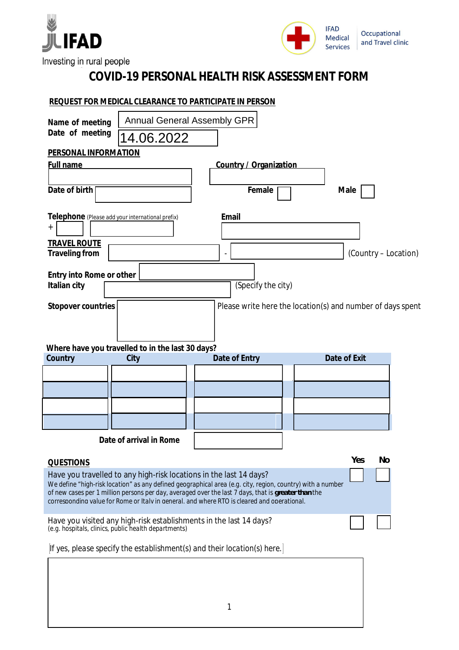



Investing in rural people

## **COVID-19 PERSONAL HEALTH RISK ASSESSMENT FORM**

## **REQUEST FOR MEDICAL CLEARANCE TO PARTICIPATE IN PERSON**

| Name of meeting                                  | <b>Annual General Assembly GPR</b>                                                                                         |                                                                                                                                                                                                    |                                                            |
|--------------------------------------------------|----------------------------------------------------------------------------------------------------------------------------|----------------------------------------------------------------------------------------------------------------------------------------------------------------------------------------------------|------------------------------------------------------------|
| Date of meeting                                  | 14.06.2022                                                                                                                 |                                                                                                                                                                                                    |                                                            |
| PERSONAL INFORMATION                             |                                                                                                                            |                                                                                                                                                                                                    |                                                            |
| <b>Full name</b>                                 |                                                                                                                            | Country / Organization                                                                                                                                                                             |                                                            |
| Date of birth                                    |                                                                                                                            |                                                                                                                                                                                                    |                                                            |
|                                                  |                                                                                                                            | Female                                                                                                                                                                                             | Male                                                       |
| Telephone (Please add your international prefix) |                                                                                                                            | Email                                                                                                                                                                                              |                                                            |
| $^{+}$                                           |                                                                                                                            |                                                                                                                                                                                                    |                                                            |
| <b>TRAVEL ROUTE</b>                              |                                                                                                                            |                                                                                                                                                                                                    |                                                            |
| Traveling from                                   |                                                                                                                            |                                                                                                                                                                                                    | (Country - Location)                                       |
| Entry into Rome or other                         |                                                                                                                            |                                                                                                                                                                                                    |                                                            |
| Italian city                                     |                                                                                                                            | (Specify the city)                                                                                                                                                                                 |                                                            |
| Stopover countries                               |                                                                                                                            |                                                                                                                                                                                                    | Please write here the location(s) and number of days spent |
|                                                  |                                                                                                                            |                                                                                                                                                                                                    |                                                            |
|                                                  |                                                                                                                            |                                                                                                                                                                                                    |                                                            |
| Country                                          | Where have you travelled to in the last 30 days?<br>City                                                                   | Date of Entry                                                                                                                                                                                      | Date of Exit                                               |
|                                                  |                                                                                                                            |                                                                                                                                                                                                    |                                                            |
|                                                  |                                                                                                                            |                                                                                                                                                                                                    |                                                            |
|                                                  |                                                                                                                            |                                                                                                                                                                                                    |                                                            |
|                                                  |                                                                                                                            |                                                                                                                                                                                                    |                                                            |
|                                                  | Date of arrival in Rome                                                                                                    |                                                                                                                                                                                                    |                                                            |
|                                                  |                                                                                                                            |                                                                                                                                                                                                    |                                                            |
| QUESTIONS                                        |                                                                                                                            |                                                                                                                                                                                                    | Yes<br>No                                                  |
|                                                  | Have you travelled to any high-risk locations in the last 14 days?                                                         | We define "high-risk location" as any defined geographical area (e.g. city, region, country) with a number                                                                                         |                                                            |
|                                                  |                                                                                                                            | of new cases per 1 million persons per day, averaged over the last 7 days, that is greater than the<br>corresponding value for Rome or Italy in general, and where RTO is cleared and operational. |                                                            |
|                                                  |                                                                                                                            |                                                                                                                                                                                                    |                                                            |
|                                                  | Have you visited any high-risk establishments in the last 14 days?<br>(e.g. hospitals, clinics, public health departments) |                                                                                                                                                                                                    |                                                            |
|                                                  |                                                                                                                            | If yes, please specify the establishment(s) and their location(s) here.                                                                                                                            |                                                            |
|                                                  |                                                                                                                            |                                                                                                                                                                                                    |                                                            |
|                                                  |                                                                                                                            |                                                                                                                                                                                                    |                                                            |
|                                                  |                                                                                                                            |                                                                                                                                                                                                    |                                                            |
|                                                  |                                                                                                                            |                                                                                                                                                                                                    |                                                            |